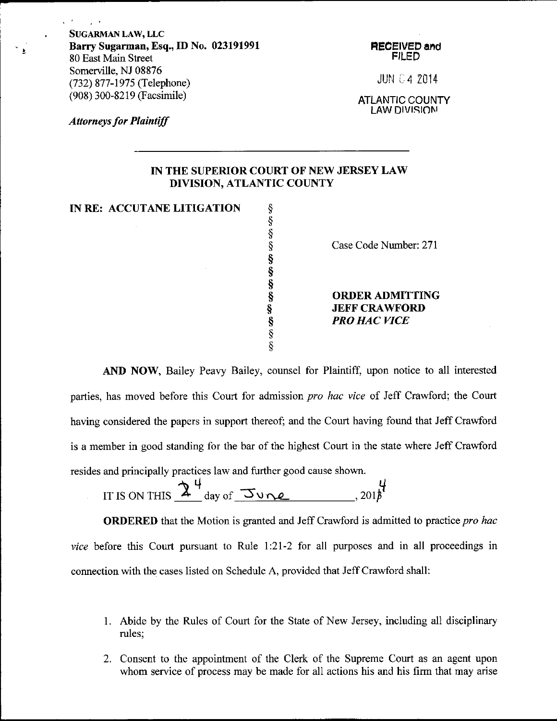SUGARMAN LAW, LLC Barry Sugarman, Esq., ID No. 023191991 80 East Main Street Somerville, NJ 08876 (732) 877-1975 (Telephone) (908) 300-8219 (Facsimile)

HECEIVED and FILEN

JUN 04 ZO14

ATLANTIC COUNTY LAW DIVISION

**Attorneys for Plaintiff** 

 $\sim 10^{-4}$ 

 $\sim 100$ 

 $\overline{\mathbf{r}}$ 

## IN THE SUPERIOR COURT OF NEW JERSEY LAW DIVISION, ATLANTIC COUNTY

IN RE: ACCUTANE LITIGATION  $\S$ 

\$ \$ \$ \$ s s s \$ s \$ \$

Case Code Number: 271

ORDERADMITTING **JEFF CRAWFORD** PRO HAC VICE

AND NOW, Bailey Peavy Bailey, counsel for Plaintiff, upon notice to all interested parties, has moved before this Court for admission *pro hac vice* of Jeff Crawford; the Court having considered the papers in support thereof; and the Court having found that Jeff Crawford is a member in good standing for the bar of the highest Court in the state where Jeff Crawford resides and principally practices law and further good cause shown.

IT IS ON THIS  $2^4$  day of June , 201f

**ORDERED** that the Motion is granted and Jeff Crawford is admitted to practice pro hac vice before this Court pursuant to Rule 1:21-2 for all purposes and in all proceedings in connection with the cases listed on Schedule A, provided that Jeff Crawford shall:

- 1. Abide by the Rules of Court for the State of New Jersey, including al1 disciplinary rules;
- 2. Consent to the appointment of the Clerk of the Supreme Court as an agent upon whom service of process may be made for all actions his and his firm that may arise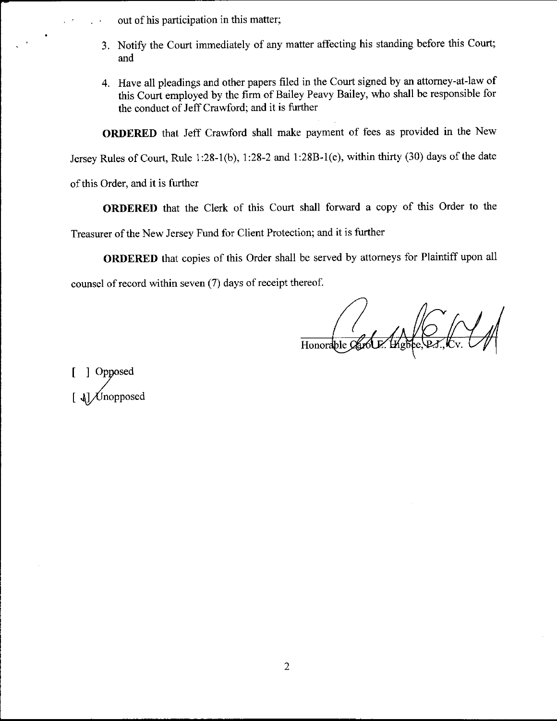out of his participation in this matter;

- 3. Notify the Court immediately of any matter affecting his standing before this Court; and
- 4. Have all pleadings and other papers filed in the Court signed by an attorney-at-law of this court employed by the firm of Bailey Peavy Bailey, who shall be responsible for the conduct of Jeff Crawford; and it is further

ORDERED that Jeff Crawford shall make payment of fees as provided in the New

Jersey Rules of Court, Rule 1:28-1(b), 1:28-2 and 1:28B-1(e), within thirty (30) days of the date

of this Order, and it is further

ORDERED that the Clerk of this Court shall forward a copy of this Order to the

Treasurer of the New Jersey Fund for Client Protection; and it is further

ORDERED that copies of this Order shall be served by attorneys for Plaintiff upon all counsel of record within seven (7) days of receipt thereof.

Honorable Cart

 $\mathbf{I}$  $\lfloor$ I oysed .\|Unopposed